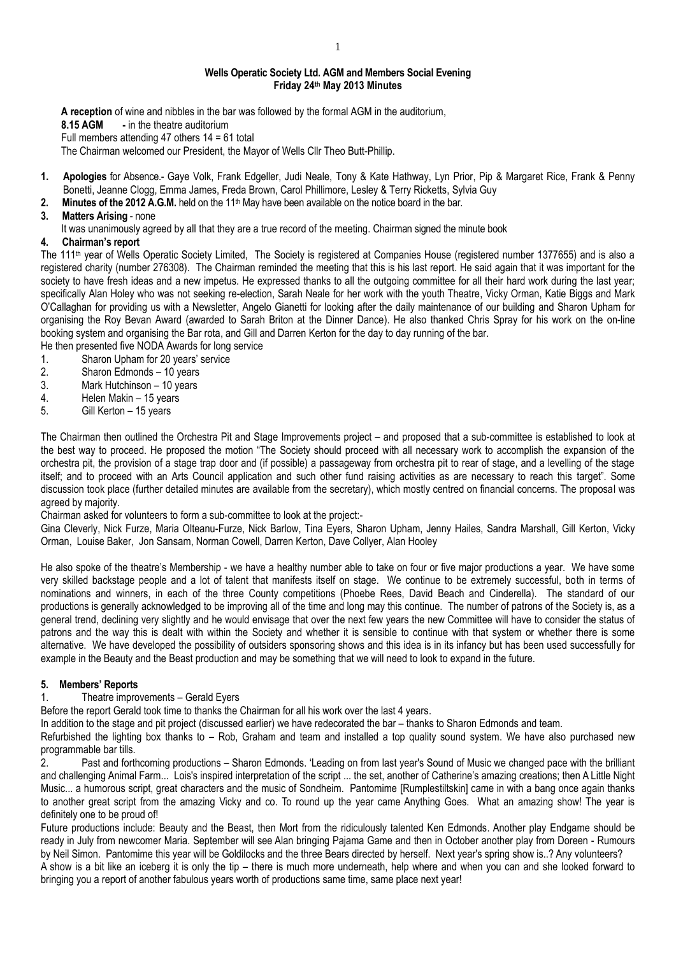#### **Wells Operatic Society Ltd. AGM and Members Social Evening Friday 24th May 2013 Minutes**

**A reception** of wine and nibbles in the bar was followed by the formal AGM in the auditorium, **8.15 AGM -** in the theatre auditorium Full members attending 47 others 14 = 61 total

The Chairman welcomed our President, the Mayor of Wells Cllr Theo Butt-Phillip.

- **1. Apologies** for Absence.- Gaye Volk, Frank Edgeller, Judi Neale, Tony & Kate Hathway, Lyn Prior, Pip & Margaret Rice, Frank & Penny Bonetti, Jeanne Clogg, Emma James, Freda Brown, Carol Phillimore, Lesley & Terry Ricketts, Sylvia Guy
- 2. Minutes of the 2012 A.G.M. held on the 11<sup>th</sup> May have been available on the notice board in the bar.

### **3. Matters Arising** - none

It was unanimously agreed by all that they are a true record of the meeting. Chairman signed the minute book

## **4. Chairman's report**

The 111<sup>th</sup> year of Wells Operatic Society Limited, The Society is registered at Companies House (registered number 1377655) and is also a registered charity (number 276308). The Chairman reminded the meeting that this is his last report. He said again that it was important for the society to have fresh ideas and a new impetus. He expressed thanks to all the outgoing committee for all their hard work during the last year; specifically Alan Holey who was not seeking re-election. Sarah Neale for her work with the youth Theatre, Vicky Orman, Katie Biggs and Mark O'Callaghan for providing us with a Newsletter, Angelo Gianetti for looking after the daily maintenance of our building and Sharon Upham for organising the Roy Bevan Award (awarded to Sarah Briton at the Dinner Dance). He also thanked Chris Spray for his work on the on-line booking system and organising the Bar rota, and Gill and Darren Kerton for the day to day running of the bar.

He then presented five NODA Awards for long service

- 1. Sharon Upham for 20 years' service
- 2. Sharon Edmonds 10 years
- 3. Mark Hutchinson 10 years
- 4. Helen Makin 15 years
- 5. Gill Kerton 15 years

The Chairman then outlined the Orchestra Pit and Stage Improvements project – and proposed that a sub-committee is established to look at the best way to proceed. He proposed the motion "The Society should proceed with all necessary work to accomplish the expansion of the orchestra pit, the provision of a stage trap door and (if possible) a passageway from orchestra pit to rear of stage, and a levelling of the stage itself; and to proceed with an Arts Council application and such other fund raising activities as are necessary to reach this target". Some discussion took place (further detailed minutes are available from the secretary), which mostly centred on financial concerns. The proposal was agreed by majority.

Chairman asked for volunteers to form a sub-committee to look at the project:-

Gina Cleverly, Nick Furze, Maria Olteanu-Furze, Nick Barlow, Tina Eyers, Sharon Upham, Jenny Hailes, Sandra Marshall, Gill Kerton, Vicky Orman, Louise Baker, Jon Sansam, Norman Cowell, Darren Kerton, Dave Collyer, Alan Hooley

He also spoke of the theatre's Membership - we have a healthy number able to take on four or five major productions a year. We have some very skilled backstage people and a lot of talent that manifests itself on stage. We continue to be extremely successful, both in terms of nominations and winners, in each of the three County competitions (Phoebe Rees, David Beach and Cinderella). The standard of our productions is generally acknowledged to be improving all of the time and long may this continue. The number of patrons of the Society is, as a general trend, declining very slightly and he would envisage that over the next few years the new Committee will have to consider the status of patrons and the way this is dealt with within the Society and whether it is sensible to continue with that system or whether there is some alternative. We have developed the possibility of outsiders sponsoring shows and this idea is in its infancy but has been used successfully for example in the Beauty and the Beast production and may be something that we will need to look to expand in the future.

## **5. Members' Reports**

#### 1. Theatre improvements – Gerald Eyers

Before the report Gerald took time to thanks the Chairman for all his work over the last 4 years.

In addition to the stage and pit project (discussed earlier) we have redecorated the bar – thanks to Sharon Edmonds and team.

Refurbished the lighting box thanks to – Rob, Graham and team and installed a top quality sound system. We have also purchased new programmable bar tills.<br>2. Past and fortl

2. Past and forthcoming productions – Sharon Edmonds. 'Leading on from last year's Sound of Music we changed pace with the brilliant and challenging Animal Farm... Lois's inspired interpretation of the script ... the set, another of Catherine's amazing creations; then A Little Night Music... a humorous script, great characters and the music of Sondheim. Pantomime [Rumplestiltskin] came in with a bang once again thanks to another great script from the amazing Vicky and co. To round up the year came Anything Goes. What an amazing show! The year is definitely one to be proud of!

Future productions include: Beauty and the Beast, then Mort from the ridiculously talented Ken Edmonds. Another play Endgame should be ready in July from newcomer Maria. September will see Alan bringing Pajama Game and then in October another play from Doreen - Rumours by Neil Simon. Pantomime this year will be Goldilocks and the three Bears directed by herself. Next year's spring show is..? Any volunteers?

A show is a bit like an iceberg it is only the tip – there is much more underneath, help where and when you can and she looked forward to bringing you a report of another fabulous years worth of productions same time, same place next year!